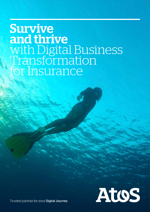# Survive and thrive with Digital Business Transformation for Insurance



Trusted partner for your Digital Journey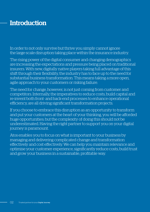# **Introduction**

In order to not only survive but thrive you simply cannot ignore the large-scale disruption taking place within the insurance industry.

The rising power of the digital consumer and changing demographics are increasing the expectations and pressure being placed on traditional insurers. With new, digitally native players taking full advantage of this shift through their flexibility, the industry has to face up to the need for substantial business transformation. This means taking a more open, agile approach to your customers or risking failure.

The need for change, however, is not just coming from customer and competitors. Internally, the imperatives to reduce costs, build capital and re-invent both front- and back-end processes to enhance operational efficiency, are all driving significant transformation projects.

If you choose to embrace this disruption as an opportunity to transform and put your customers at the heart of your thinking, you will be afforded huge opportunities; but the complexity of doing this should not be underestimated. Having the right partner to support you on your digital journey is paramount.

Atos enables you to focus on what is important to your business by managing and delivering complicated change and transformation effectively and cost effectively. We can help you maintain relevance and optimise your customer experience, significantly reduce costs, build trust and grow your business in a sustainable, profitable way.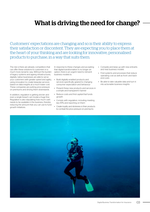# What is driving the need for change?

Customers' expectations are changing and so is their ability to express their satisfaction or discontent. They are expecting you to place them at the heart of your thinking and are looking for innovative, personalised products to purchase, in a way that suits them.

The risk is there are already competitors that can offer these solutions to customers in a much more dynamic way. Without the burden of legacy systems and ageing infrastructures, digitally native businesses are able to serve your customers with greater speed and agility, using innovation to create bespoke services based on data insights at a much lower cost. These companies are putting price pressure on premiums and driving them downwards.

In addition, regulation is getting stricter and even a single breach can invoke a huge fine. Regulation is also stipulating how much cash needs to be available in the business, thereby reducing the amount that you can use to fund growth initiatives.

In response to these changes and accepting that digital transformation is no longer an option, there is an urgent need to reinvent business models to:

- Build digitally-enabled products and services specifically geared to changing consumer expectation and behaviour
- Present these new products and services in a simple and transparent manner
- Reduce costs and find capital that funds growth
- Comply with regulation, including meeting key KPIs and reporting on them
- Create loyalty and stickiness in their products to combat the price pressure on premiums
- Compete and keep up with new entrants and new business models
- Find systems and processes that reduce operating cost as well as front- and backend costs
- Be able to take valuable data and turn it into actionable business insights

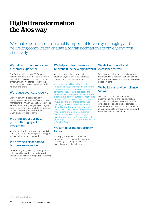# Digital transformation the Atos way

We enable you to focus on what is important to you by managing and delivering complicated change and transformation effectively and costeffectively.

# We help you to optimise your customer experience

Our Customer Experience (CX) practice helps you adopt a customer-centric culture that delights customers, reduces churn and empowers your workforce, resulting in a greater share of customer wallet and higher revenue and profits.

### We reduce your cost-to-serve

We drive down your cost-to-serve by managing core processes like fraud and claims management. Through automation, operational excellence and adding a digital layer to legacy systems, we deliver faster cycle times, accuracy, more accountability and auditability – all of which drive down cost-to-serve.

# We bring about business growth through joint investment

We drive a growth and innovation agenda by working in partnership with you, creating joint investment pots and sharing risk.

# We provide a clear path to business re-invention

We support your growth by creating a joint vision. We drive product innovation and market differentiation through digital business empowerment initiatives.

# We help you become more relevant in the new digital world

We enable you to become a digital organisation, help create new business channels and new revenue streams.

Atos worked with National Savings & Investments (NS&I) to transform its front-line contact centre and back office processes to integrate the separate operations and improve customer experience. Conceived as a partnership from the outset, the relationship between NS&I and Atos is based on trust, mutual goodwill and shared confidence. Delivering long term value was the focus of the 'NS&I adding value' strategy which had four key objectives: simplify processes; modernise to provide a more customercentric service; diversify technology and expertise. As a result, NS&I core business has grown rapidly too, from £102 billion in 2013 to £147 billion today.

### We turn data into opportunity for you

We help you improve customer and operational excellence, and reduce your costto-serve by converting the data you collect into actionable business insights.

# We deliver operational excellence for you

We help you achieve operational excellence by embedding a culture of lean operational efficiency, process automation and integration across systems.

### We build trust and compliance for you

We drive improved risk assessment. underwriting insight and fraud detection through the intelligent use of analytics. We embed an end-to-end risk and compliance framework which supports FCA<sup>1</sup> compliance, reinsurance audits, financial crime, fraud, and enterprise risk and assurance.

1. Financial Conduct Authority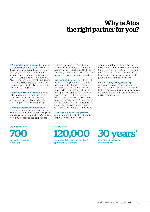# Why is Atos the right partner for you?

1. We are a full-service supplier that provides a single contract, SLA and point of contact. This reduces your risk and saves you time managing contracts and billing. We are vendor-agnostic and work hand-in-hand with world-class organisations as well as SMEs. Also, working with a well-established, growing and financially stable organisation like Atos gives you peace of mind that we are the right partner for the long term.

2.We offer a holistic CX approach as part of the solution rather than an add-on you have to pay for. Our unique approach, incorporating all six critical practices, is something our competitors cannot offer.

#### 3.We are leaders in digital innovation

and innovation continues to be one of our core values. We drive innovation through our scientific community, which has 135 members from different geographies, backgrounds

We run more than New York We have over



and skills. Our Business Technology and Innovation Centre (BTIC) showcases live examples of over 90 solutions. Our BTIC also has our legal and commercial teams available on hand to explore new business models.

4.We bring sector expertise with most of our team coming from industry as well as being leaders in IT transformation. And we are leaders in IT transformation. We also bring you the rigour of our public sector work, global Atos expertise and experience from across different industries as well as different customers such as Metropolitan Police, McDonalds and the Olympic Games. We continuously look at the most innovative companies in the world to see how their methods can be applied to your business.

### 5.We believe in doing the right thing:

we don't just say the right thing, but instead we put your mission, your vision,

technologists to manage complex IT operations for cutomers

your values and your employees at the heart of everything that we do. Trust, service, transparency and accountability are among our core values. We always take ownership for delivering what we say we will, without passing the responsibility onto others.

#### 6.We build long-lasting partnerships

and go on the growth journey with our customers. We are willing to be accountable for the delivery of any programme we sign up to. We take on the risk ourselves, with little or no investment from you.

30 years' experience in managing transformations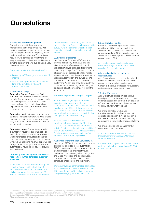# Our solutions

#### 1. Fraud and claims management

Our industry-specific fraud and claims management solutions provide you with best-in-class detection performance, but are agile enough to be able to frequently adapt to changing fraud schemes. The solutions require low to zero capital investment, are easy to integrate into business workflows and give the flexibility of being available on a SaaS or on premise model.

Our solutions offer the following benefits:

- Deliver up to 5% savings on claims after 12 months
- Give an average reduction of settlement time of 10 minutes on 400,000 transactions a year

### 2. Connected Living2

### Connected Car and Connected Fleet

solution: Our solution is fully scalable and modular (components and business models) and encompasses the full value chain of connected car – from device installation to payment. Our solution is industrialised, scalable and fully secure.

Connected Health: We provide technology solutions so that customers who were unable to previously get insurance, are now a less risky proposition for the insurer and able to secure health insurance.

Connected Home: Our solutions provide a number of insurance opportunities. For example, home alarm and security systems with differentiated products and deals for customers who regularly lock their doors and windows. Or additional revenue opportunities using Internet of Things (IoT) – for example, automatically insuring new devices brought into the home.

### Combining Fleet Management and UBI to reduce fleet TCO and increase customer stickiness

A renowned European insurance company using the Connected Fleet solution of Worldline, was able to reduce the amount of claims of a pilot B2B customer by 14%. The reduction of claims was achieved by an increased driver transparency and improved driving behaviour. Based on a European-wide survey, 40% of the drivers who share their telematics data with insurers become safer drivers.

### 3.Customer experience

Our Customer Experience (CX) practice delivers high quality, innovative and costeffective CX transformation solutions. It provides simple, engaging and captivating customer journeys. Our CX solution consists of six critical practices and brings a holistic approach that focuses the people, operations, processes, technology and culture around the needs of our clients and our clients' customers. We can also provide you with the chance to experience the journey that your end-users take, at our laboratory facility, the Atos CX Lab.

### Customer experience changes at Aegon

Atos realised that getting the customer experience right was key to effective transformation. So, Atos put CX 'literally' at the heart of Aegon UK by building a state of the art CX Lab on site. The CX Lab is located in a prime site within the Aegon building in Lytham and operates an open-door policy.

All new service enhancements and developments pass through the CX Lab so it is a vital component for all transformation activity. To introduce the extensive capability of the CX Lab, Atos held 25 CX 'mindset' sessions for all transferred employees including 30 employees from within Aegon itself.

### 4.Business Transformation Services (BTS)

Our range of BTS solutions includes customer excellence, robotics process automation (RPA), operational excellence, legacy systems transformation, data analytics through Codex and innovative digital technology like the Digital Workplace and cloud solutions (Canopy). Our BTS solution also covers employee engagement and inspiration.

Our legacy systems transformation solution has an implementation time of 18 months and the ROI is only 18 months. Our solution improves the speed of legacy applications by 50%.

### 5.Data analytics - Codex

Codex, our market-leading analytics platform provides the ability to transform data into actionable business information and competitive advantage. We have 4,000+ analytics, cognitive and IoT experts who deployed 100+ Atos Codex engagements in 2016.

Atos has been positioned as a Visionary in Gartner's Magic Quadrant for Business Analytics Services, Worldwide.

#### 6.Innovative digital technology – cloud services

Atos Canopy is our comprehensive suite of orchestrated hybrid cloud services which ensures agility, scalability and security. Canopy is the cloud foundation for successful and sustainable digital transformation.

### 7. Digital Workplace

Atos' Digital Workplace provides a cloudbased platform for the workforce to connect, communicate and collaborate in an easy and efficient manner. Also cloud delivery means you only pay for what you need.

We offer a complete workspace transformation solution: from advisory to consulting and design thinking, through to business and vertical solutions, including applications to the digital workplace platform.

We provide end-to-end management of service desks for our clients.

Atos is positioned as a Leader in Gartner's Magic Quadrant for European Managed Workplace Services.

In Europe, Atos supports more than 1.2 million desktop devices4 and more than 400,000 mobile devices

2. "Connected Living describes a world in which our homes, work and city are all seamlessly connected through multiple intelligent devices that integrate video, voice and data services to provide access and ubiquitous connectivity anytime and anywhere." - Forbes

3. https://atos.net/en/2013/press-release/deals-contracts-press-releases\_2013\_07\_26/pr-2013\_07\_26\_01 4.Source: Atos insurance presentation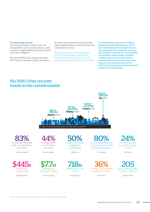### 8.Cutting-edge security:

Our security solutions include cyber risk management, cyber security advisory, cyber operations, digital identity and access control and cyber intelligence.

We have 4,500 security experts and eight 24x7 Security Operation Centres worldwide

to protect personal and financial customer data as well as business-critical systems from cyber-attacks or fraud.

We bring experience of managing cyber security from the Olympic Games and the infographic below shows our security performance at the Rio Olympics in numbers<sup>5</sup>. A world-leading reinsurance company headquartered in Switzerland is one of the most trusted and successful insurers. For operations in 20 countries, it uses an Atos solution to ensure fool-proof identity management, with a single consistent method used in all corporate offices, remote locations and on the move. This leads not only to enhanced security performance but greater productivity and simplicity for the business.

# Rio 2016 Cyber security trends in the current market